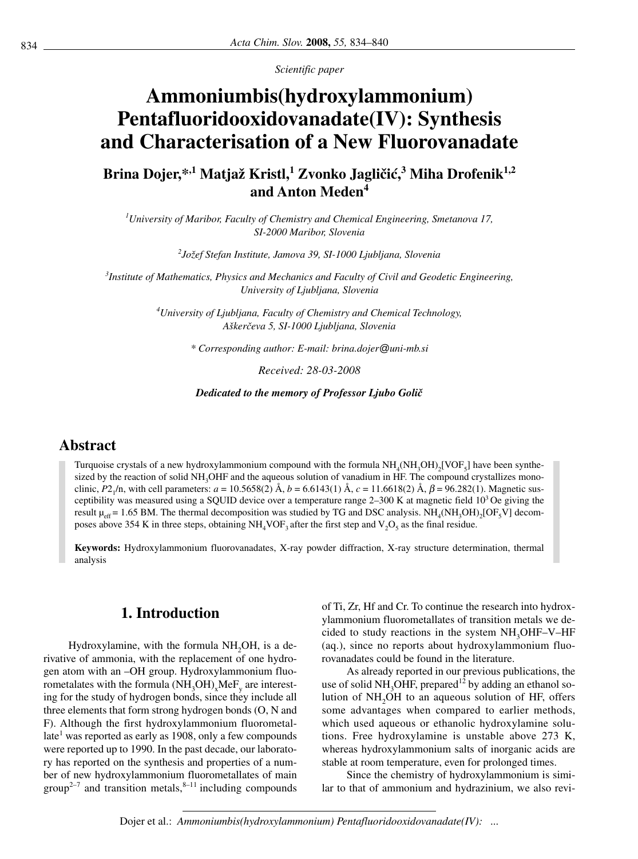*Scientific paper*

# **Ammoniumbis(hydroxylammonium) Pentafluoridooxidovanadate(IV): Synthesis and Characterisation of a New Fluorovanadate**

**Brina Dojer,**<sup>\*,1</sup> **Matjaž Kristl,<sup>1</sup> Zvonko Jagličić,<sup>3</sup> Miha Drofenik<sup>1,2</sup> and Anton Meden4**

*1 University of Maribor, Faculty of Chemistry and Chemical Engineering, Smetanova 17, SI-2000 Maribor, Slovenia*

*2 Jo`ef Stefan Institute, Jamova 39, SI-1000 Ljubljana, Slovenia*

*3 Institute of Mathematics, Physics and Mechanics and Faculty of Civil and Geodetic Engineering, University of Ljubljana, Slovenia*

> *4 University of Ljubljana, Faculty of Chemistry and Chemical Technology, A{ker~eva 5, SI-1000 Ljubljana, Slovenia*

> > *\* Corresponding author: E-mail: brina.dojer@uni-mb.si*

*Received: 28-03-2008*

*Dedicated to the memory of Professor Ljubo Goli~*

## **Abstract**

Turquoise crystals of a new hydroxylammonium compound with the formula  $NH_4(NH_3OH)$ [VOF<sub>5</sub>] have been synthesized by the reaction of solid NH<sub>3</sub>OHF and the aqueous solution of vanadium in HF. The compound crystallizes monoclinic, *P*2<sub>1</sub>/n, with cell parameters:  $a = 10.5658(2)$  Å,  $b = 6.6143(1)$  Å,  $c = 11.6618(2)$  Å,  $\beta = 96.282(1)$ . Magnetic susceptibility was measured using a SQUID device over a temperature range  $2-300$  K at magnetic field  $10<sup>3</sup>$  Oe giving the result  $\mu_{\text{eff}} = 1.65$  BM. The thermal decomposition was studied by TG and DSC analysis. NH<sub>4</sub>(NH<sub>3</sub>OH)<sub>2</sub>[OF<sub>5</sub>V] decomposes above 354 K in three steps, obtaining  $NH_4$ VOF<sub>3</sub> after the first step and V<sub>2</sub>O<sub>5</sub> as the final residue.

**Keywords:** Hydroxylammonium fluorovanadates, X-ray powder diffraction, X-ray structure determination, thermal analysis

## **1. Introduction**

Hydroxylamine, with the formula NH<sub>2</sub>OH, is a derivative of ammonia, with the replacement of one hydrogen atom with an –OH group. Hydroxylammonium fluorometalates with the formula  $(NH_3OH)_xMeF_x$  are interesting for the study of hydrogen bonds, since they include all three elements that form strong hydrogen bonds (O, N and F). Although the first hydroxylammonium fluorometallate<sup>1</sup> was reported as early as 1908, only a few compounds were reported up to 1990. In the past decade, our laboratory has reported on the synthesis and properties of a number of new hydroxylammonium fluorometallates of main group<sup>2–7</sup> and transition metals, $8-11$  including compounds of Ti, Zr, Hf and Cr. To continue the research into hydroxylammonium fluorometallates of transition metals we decided to study reactions in the system  $NH<sub>3</sub>OHF-V-HF$ (aq.), since no reports about hydroxylammonium fluorovanadates could be found in the literature.

As already reported in our previous publications, the use of solid NH<sub>3</sub>OHF, prepared<sup>12</sup> by adding an ethanol solution of NH<sub>2</sub>OH to an aqueous solution of HF, offers some advantages when compared to earlier methods, which used aqueous or ethanolic hydroxylamine solutions. Free hydroxylamine is unstable above 273 K, whereas hydroxylammonium salts of inorganic acids are stable at room temperature, even for prolonged times.

Since the chemistry of hydroxylammonium is similar to that of ammonium and hydrazinium, we also revi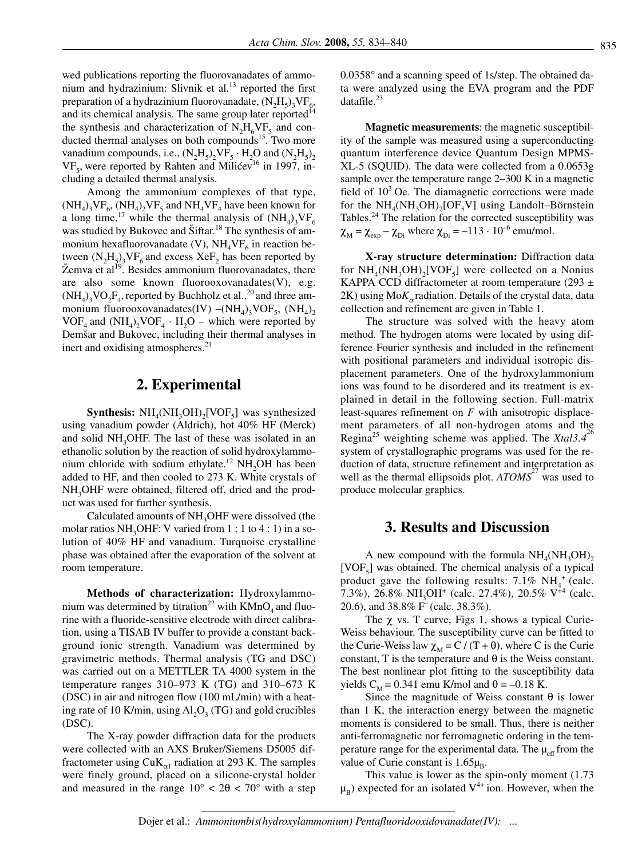wed publications reporting the fluorovanadates of ammonium and hydrazinium: Slivnik et al.<sup>13</sup> reported the first preparation of a hydrazinium fluorovanadate,  $(N_2H_5)_2VF_6$ , and its chemical analysis. The same group later reported<sup>14</sup> the synthesis and characterization of  $N_2H_6VF_5$  and conducted thermal analyses on both compounds<sup>15</sup>. Two more vanadium compounds, i.e.,  $(N_2H_5)$ ,  $VF_5 \cdot H_2O$  and  $(N_2H_5)$ ,  $VF<sub>5</sub>$ , were reported by Rahten and Milićev<sup>16</sup> in 1997, including a detailed thermal analysis.

Among the ammonium complexes of that type,  $(NH_A)_{3}VF_{6}$ ,  $(NH_A)_{2}VF_{5}$  and  $NH_AVF_A$  have been known for a long time,<sup>17</sup> while the thermal analysis of  $(NH_4)_3VF_6$ was studied by Bukovec and Šiftar.<sup>18</sup> The synthesis of ammonium hexafluorovanadate (V),  $NH<sub>4</sub>VF<sub>6</sub>$  in reaction between  $(N_2H_5)_3VF_6$  and excess  $XeF_2$  has been reported by Žemva et al<sup>19</sup>. Besides ammonium fluorovanadates, there are also some known fluorooxovanadates(V), e.g.  $(NH_4)$ <sub>3</sub>VO<sub>2</sub>F<sub>4</sub>, reported by Buchholz et al.,<sup>20</sup> and three ammonium fluorooxovanadates(IV) –(NH<sub>4</sub>)<sub>3</sub>VOF<sub>5</sub>, (NH<sub>4</sub>)<sub>2</sub>  $VOF<sub>4</sub>$  and  $(NH<sub>4</sub>)$ ,  $VOF<sub>4</sub> \cdot H<sub>2</sub>O$  – which were reported by Demšar and Bukovec, including their thermal analyses in inert and oxidising atmospheres.<sup>21</sup>

### **2. Experimental**

**Synthesis:**  $NH_4(NH_3OH)_2[VOF_5]$  was synthesized using vanadium powder (Aldrich), hot 40% HF (Merck) and solid  $NH<sub>3</sub>OHF$ . The last of these was isolated in an ethanolic solution by the reaction of solid hydroxylammonium chloride with sodium ethylate.<sup>12</sup> NH<sub>2</sub>OH has been added to HF, and then cooled to 273 K. White crystals of NH<sub>3</sub>OHF were obtained, filtered off, dried and the product was used for further synthesis.

Calculated amounts of NH<sub>3</sub>OHF were dissolved (the molar ratios NH<sub>3</sub>OHF: V varied from  $1:1$  to  $4:1$ ) in a solution of 40% HF and vanadium. Turquoise crystalline phase was obtained after the evaporation of the solvent at room temperature.

**Methods of characterization:** Hydroxylammonium was determined by titration<sup>22</sup> with  $KMnO<sub>4</sub>$  and fluorine with a fluoride-sensitive electrode with direct calibration, using a TISAB IV buffer to provide a constant background ionic strength. Vanadium was determined by gravimetric methods. Thermal analysis (TG and DSC) was carried out on a METTLER TA 4000 system in the temperature ranges 310–973 K (TG) and 310–673 K (DSC) in air and nitrogen flow (100 mL/min) with a heating rate of 10 K/min, using  $AI_2O_3$  (TG) and gold crucibles (DSC).

The X-ray powder diffraction data for the products were collected with an AXS Bruker/Siemens D5005 diffractometer using Cu $K_{\alpha1}$  radiation at 293 K. The samples were finely ground, placed on a silicone-crystal holder and measured in the range  $10^{\circ} < 2\theta < 70^{\circ}$  with a step

0.0358° and a scanning speed of 1s/step. The obtained data were analyzed using the EVA program and the PDF datafile. $^{23}$ 

**Magnetic measurements**: the magnetic susceptibility of the sample was measured using a superconducting quantum interference device Quantum Design MPMS-XL-5 (SQUID). The data were collected from a 0.0653g sample over the temperature range 2–300 K in a magnetic field of  $10<sup>3</sup>$  Oe. The diamagnetic corrections were made for the  $NH_{4}(NH_{2}OH)_{2}[OF_{5}V]$  using Landolt–Börnstein Tables.<sup>24</sup> The relation for the corrected susceptibility was  $\chi_{\text{M}} = \chi_{\text{exp}} - \chi_{\text{Di}}$  where  $\chi_{\text{Di}} = -113 \cdot 10^{-6}$  emu/mol.

**X-ray structure determination:** Diffraction data for  $NH_{4}(NH_{3}OH)_{2}[VOF_{5}]$  were collected on a Nonius KAPPA CCD diffractometer at room temperature (293  $\pm$ ) 2K) using  $M \circ K_{\alpha}$  radiation. Details of the crystal data, data collection and refinement are given in Table 1.

The structure was solved with the heavy atom method. The hydrogen atoms were located by using difference Fourier synthesis and included in the refinement with positional parameters and individual isotropic displacement parameters. One of the hydroxylammonium ions was found to be disordered and its treatment is explained in detail in the following section. Full-matrix least-squares refinement on *F* with anisotropic displacement parameters of all non-hydrogen atoms and the Regina<sup>25</sup> weighting scheme was applied. The *Xtal3.4*<sup>26</sup> system of crystallographic programs was used for the reduction of data, structure refinement and interpretation as well as the thermal ellipsoids plot. *ATOMS*<sup>27</sup> was used to produce molecular graphics.

#### **3. Results and Discussion**

A new compound with the formula  $NH<sub>4</sub>(NH<sub>3</sub>OH)$ <sub>2</sub> [VOF $_{5}$ ] was obtained. The chemical analysis of a typical product gave the following results: 7.1%  $NH_4^+$  (calc. 7.3%), 26.8% NH<sub>3</sub>OH<sup>+</sup> (calc. 27.4%), 20.5% V<sup>+4</sup> (calc. 20.6), and 38.8% F– (calc. 38.3%).

The  $\chi$  vs. T curve, Figs 1, shows a typical Curie-Weiss behaviour. The susceptibility curve can be fitted to the Curie-Weiss law  $\chi_M = C / (T + \theta)$ , where C is the Curie constant, T is the temperature and  $\theta$  is the Weiss constant. The best nonlinear plot fitting to the susceptibility data yields  $C_M$  = 0.341 emu K/mol and  $\theta$  = -0.18 K.

Since the magnitude of Weiss constant  $θ$  is lower than 1 K, the interaction energy between the magnetic moments is considered to be small. Thus, there is neither anti-ferromagnetic nor ferromagnetic ordering in the temperature range for the experimental data. The  $\mu_{\text{eff}}$  from the value of Curie constant is  $1.65\mu_B$ .

This value is lower as the spin-only moment (1.73  $\mu_B$ ) expected for an isolated V<sup>4+</sup> ion. However, when the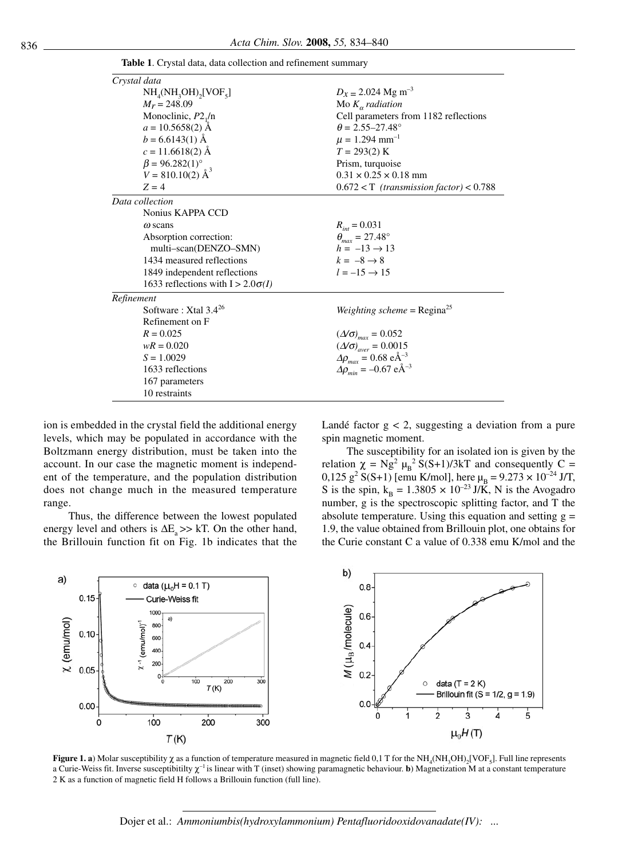| Crystal data                                                  |                                                            |  |  |
|---------------------------------------------------------------|------------------------------------------------------------|--|--|
| $NH_4(NH_3OH)_2[VOF_5]$                                       | $D_x = 2.024$ Mg m <sup>-3</sup>                           |  |  |
| $M_r = 248.09$                                                | Mo $K_{\alpha}$ radiation                                  |  |  |
| Monoclinic, $P2_1/n$                                          | Cell parameters from 1182 reflections                      |  |  |
| $a = 10.5658(2)$ Å                                            | $\theta = 2.55 - 27.48^{\circ}$                            |  |  |
| $b = 6.6143(1)$ Å                                             | $\mu = 1.294$ mm <sup>-1</sup>                             |  |  |
| $c = 11.6618(2)$ Å                                            | $T = 293(2)$ K                                             |  |  |
| $\beta = 96.282(1)^{\circ}$<br>$V = 810.10(2)$ Å <sup>3</sup> | Prism, turquoise                                           |  |  |
|                                                               | $0.31 \times 0.25 \times 0.18$ mm                          |  |  |
| $Z = 4$                                                       | $0.672 < T$ (transmission factor) < 0.788                  |  |  |
| Data collection                                               |                                                            |  |  |
| Nonius KAPPA CCD                                              |                                                            |  |  |
| $\omega$ scans                                                | $R_{\rm int} = 0.031$                                      |  |  |
| Absorption correction:                                        | $\theta_{max} = 27.48^{\circ}$                             |  |  |
| multi-scan(DENZO-SMN)                                         | $h = -13 \rightarrow 13$                                   |  |  |
| 1434 measured reflections                                     | $k = -8 \rightarrow 8$                                     |  |  |
| 1849 independent reflections                                  | $l = -15 \rightarrow 15$                                   |  |  |
| 1633 reflections with $I > 2.0\sigma(I)$                      |                                                            |  |  |
| Refinement                                                    |                                                            |  |  |
| Software: $X$ tal 3.4 <sup>26</sup>                           | <i>Weighting scheme</i> = $Regina25$                       |  |  |
| Refinement on F                                               |                                                            |  |  |
| $R = 0.025$                                                   | $(\Delta/\sigma)_{max} = 0.052$                            |  |  |
| $wR = 0.020$                                                  | $\left(\varDelta\!\!\right/\sigma\!\!\left)_{aver}=0.0015$ |  |  |
| $S = 1.0029$                                                  | $\Delta\rho_{max} = 0.68 \text{ eA}^{-3}$                  |  |  |
| 1633 reflections                                              | $\Delta \rho_{min} = -0.67 \text{ eA}^{-3}$                |  |  |
| 167 parameters                                                |                                                            |  |  |
| 10 restraints                                                 |                                                            |  |  |

**Table 1**. Crystal data, data collection and refinement summary

ion is embedded in the crystal field the additional energy levels, which may be populated in accordance with the Boltzmann energy distribution, must be taken into the account. In our case the magnetic moment is independent of the temperature, and the population distribution does not change much in the measured temperature range.

Thus, the difference between the lowest populated energy level and others is  $\Delta E$ <sub>a</sub> >> kT. On the other hand, the Brillouin function fit on Fig. 1b indicates that the Landé factor  $g < 2$ , suggesting a deviation from a pure spin magnetic moment.

The susceptibility for an isolated ion is given by the relation  $\chi = Ng^2 \mu_B^2 S(S+1)/3kT$  and consequently C = 0,125 g<sup>2</sup> S(S+1) [emu K/mol], here  $\mu_B = 9.273 \times 10^{-24}$  J/T, S is the spin,  $k_B = 1.3805 \times 10^{-23} J/\tilde{K}$ , N is the Avogadro number, g is the spectroscopic splitting factor, and T the absolute temperature. Using this equation and setting  $g =$ 1.9, the value obtained from Brillouin plot, one obtains for the Curie constant C a value of 0.338 emu K/mol and the



**Figure 1. a**) Molar susceptibility *χ* as a function of temperature measured in magnetic field 0,1 T for the NH<sub>4</sub>(NH<sub>3</sub>OH)<sub>2</sub>[VOF<sub>5</sub>]. Full line represents a Curie-Weiss fit. Inverse susceptibitilty  $\chi^{-1}$  is linear with T (inset) showing paramagnetic behaviour. **b**) Magnetization M at a constant temperature 2 K as a function of magnetic field H follows a Brillouin function (full line).

Dojer et al.: *Ammoniumbis(hydroxylammonium) Pentafluoridooxidovanadate(IV): ...*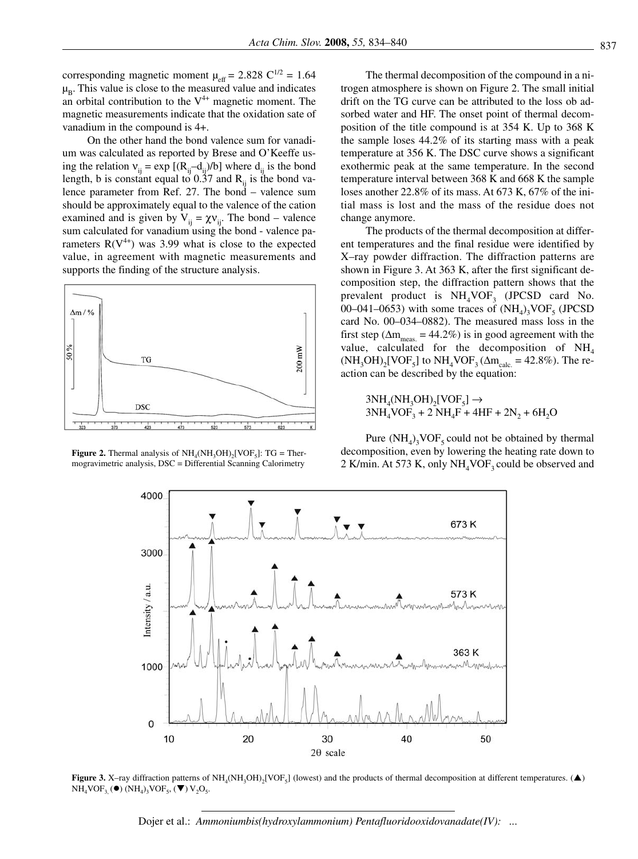corresponding magnetic moment  $\mu_{\text{eff}} = 2.828 \text{ C}^{1/2} = 1.64$  $\mu_B$ . This value is close to the measured value and indicates an orbital contribution to the  $V^{4+}$  magnetic moment. The magnetic measurements indicate that the oxidation sate of vanadium in the compound is 4+.

On the other hand the bond valence sum for vanadium was calculated as reported by Brese and O'Keeffe using the relation  $v_{ij} = \exp [(R_{ij} - d_{ij})/b]$  where  $d_{ij}$  is the bond length, b is constant equal to  $0.\overline{37}$  and  $R<sub>ii</sub>$  is the bond valence parameter from Ref. 27. The bond – valence sum should be approximately equal to the valence of the cation examined and is given by  $V_{ii} = \chi V_{ii}$ . The bond – valence sum calculated for vanadium using the bond - valence parameters  $R(V^{4+})$  was 3.99 what is close to the expected value, in agreement with magnetic measurements and supports the finding of the structure analysis.



**Figure 2.** Thermal analysis of  $NH<sub>4</sub>(NH<sub>3</sub>OH)<sub>2</sub>[VOF<sub>5</sub>]: TG = Ther$ mogravimetric analysis, DSC = Differential Scanning Calorimetry

The thermal decomposition of the compound in a nitrogen atmosphere is shown on Figure 2. The small initial drift on the TG curve can be attributed to the loss ob adsorbed water and HF. The onset point of thermal decomposition of the title compound is at 354 K. Up to 368 K the sample loses 44.2% of its starting mass with a peak temperature at 356 K. The DSC curve shows a significant exothermic peak at the same temperature. In the second temperature interval between 368 K and 668 K the sample loses another 22.8% of its mass. At 673 K, 67% of the initial mass is lost and the mass of the residue does not change anymore.

The products of the thermal decomposition at different temperatures and the final residue were identified by X–ray powder diffraction. The diffraction patterns are shown in Figure 3. At 363 K, after the first significant decomposition step, the diffraction pattern shows that the prevalent product is  $NH<sub>4</sub>VOF<sub>3</sub>$  (JPCSD card No. 00–041–0653) with some traces of  $(NH<sub>4</sub>)$ <sub>2</sub>VOF<sub>5</sub> (JPCSD) card No. 00–034–0882). The measured mass loss in the first step ( $\Delta m_{\text{meas}} = 44.2\%$ ) is in good agreement with the value, calculated for the decomposition of  $NH<sub>4</sub>$  $(NH_3OH)_2[VOF_5]$  to  $NH_4VOF_3(\Delta m_{calc.} = 42.8\%)$ . The reaction can be described by the equation:

 $3NH_4(NH_3OH)_2[VOF_5] \rightarrow$  $3NH_4VOF_3 + 2 NH_4F + 4HF + 2N_2 + 6H_2O$ 

Pure  $(NH_4)$ <sub>3</sub>VOF<sub>5</sub> could not be obtained by thermal decomposition, even by lowering the heating rate down to 2 K/min. At 573 K, only  $NH<sub>4</sub>VOF<sub>3</sub>$  could be observed and



**Figure 3.** X–ray diffraction patterns of NH<sub>4</sub>(NH<sub>3</sub>OH)<sub>2</sub>[VOF<sub>5</sub>] (lowest) and the products of thermal decomposition at different temperatures. ( $\triangle$ )  $NH_4VOF_{3,}$  ( $\bullet$ ) ( $NH_4$ )<sub>3</sub>VOF<sub>5</sub>, ( $\nabla$ ) V<sub>2</sub>O<sub>5</sub>.

Dojer et al.: Ammoniumbis(hydroxylammonium) Pentafluoridooxidovanadate(IV): ...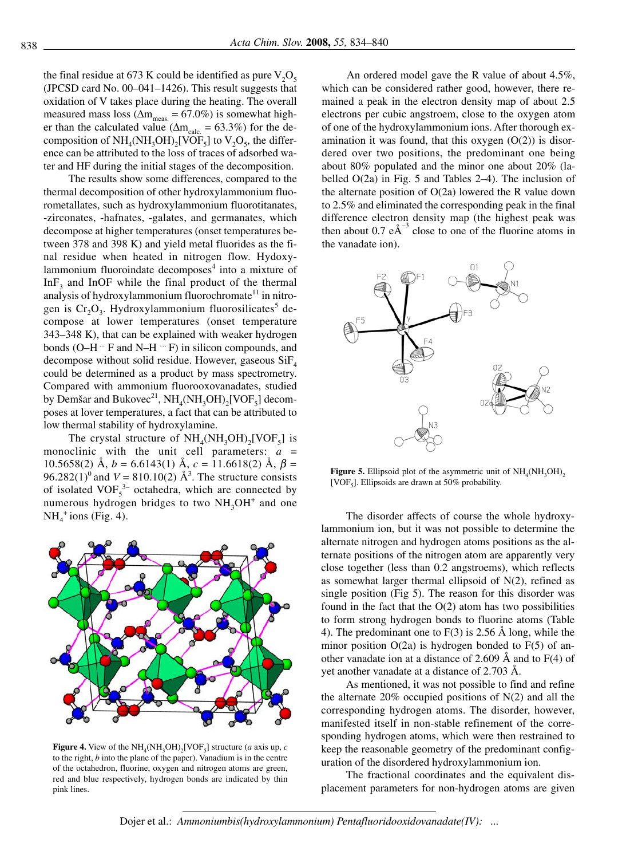the final residue at 673 K could be identified as pure  $V_2O_5$ (JPCSD card No. 00–041–1426). This result suggests that oxidation of V takes place during the heating. The overall measured mass loss ( $\Delta m_{\text{meas}} = 67.0\%$ ) is somewhat higher than the calculated value ( $\Delta m_{calc} = 63.3\%$ ) for the decomposition of  $NH_4(NH_3OH)_2[VOF_5]$  to  $V_2O_5$ , the difference can be attributed to the loss of traces of adsorbed water and HF during the initial stages of the decomposition.

The results show some differences, compared to the thermal decomposition of other hydroxylammonium fluorometallates, such as hydroxylammonium fluorotitanates, -zirconates, -hafnates, -galates, and germanates, which decompose at higher temperatures (onset temperatures between 378 and 398 K) and yield metal fluorides as the final residue when heated in nitrogen flow. Hydoxylammonium fluoroindate decomposes<sup>4</sup> into a mixture of InF<sub>2</sub> and InOF while the final product of the thermal analysis of hydroxylammonium fluorochromate<sup>11</sup> in nitrogen is  $Cr_2O_3$ . Hydroxylammonium fluorosilicates<sup>5</sup> decompose at lower temperatures (onset temperature 343–348 K), that can be explained with weaker hydrogen bonds (O–H $\cdot$  F and N–H $\cdot$  F) in silicon compounds, and decompose without solid residue. However, gaseous  $\text{SiF}_4$ could be determined as a product by mass spectrometry. Compared with ammonium fluorooxovanadates, studied by Demšar and Bukovec<sup>21</sup>,  $NH_4(NH_3OH)_2[VOF_5]$  decomposes at lover temperatures, a fact that can be attributed to low thermal stability of hydroxylamine.

The crystal structure of  $NH<sub>4</sub>(NH<sub>3</sub>OH)<sub>2</sub>[VOF<sub>5</sub>]$  is monoclinic with the unit cell parameters: *a* = 10.5658(2) Å,  $b = 6.6143(1)$  Å,  $c = 11.6618(2)$  Å,  $\beta =$ 96.282(1)<sup>0</sup> and *V* = 810.10(2)  $\AA$ <sup>3</sup>. The structure consists of isolated  $VOF<sub>5</sub><sup>3-</sup> octahedra$ , which are connected by numerous hydrogen bridges to two  $NH<sub>3</sub>OH<sup>+</sup>$  and one  $NH_4^+$ ions (Fig. 4).



**Figure 4.** View of the  $NH_4(NH_3OH)_2[VOF_5]$  structure (*a* axis up, *c* to the right, *b* into the plane of the paper). Vanadium is in the centre of the octahedron, fluorine, oxygen and nitrogen atoms are green, red and blue respectively, hydrogen bonds are indicated by thin pink lines.

An ordered model gave the R value of about 4.5%, which can be considered rather good, however, there remained a peak in the electron density map of about 2.5 electrons per cubic angstroem, close to the oxygen atom of one of the hydroxylammonium ions. After thorough examination it was found, that this oxygen (O(2)) is disordered over two positions, the predominant one being about 80% populated and the minor one about 20% (labelled O(2a) in Fig. 5 and Tables 2–4). The inclusion of the alternate position of  $O(2a)$  lowered the R value down to 2.5% and eliminated the corresponding peak in the final difference electron density map (the highest peak was then about 0.7  $e\text{\AA}^{-3}$  close to one of the fluorine atoms in the vanadate ion).



**Figure 5.** Ellipsoid plot of the asymmetric unit of  $NH<sub>4</sub>(NH<sub>3</sub>OH)$ <sub>2</sub> [VOF<sub>5</sub>]. Ellipsoids are drawn at 50% probability.

The disorder affects of course the whole hydroxylammonium ion, but it was not possible to determine the alternate nitrogen and hydrogen atoms positions as the alternate positions of the nitrogen atom are apparently very close together (less than 0.2 angstroems), which reflects as somewhat larger thermal ellipsoid of N(2), refined as single position (Fig 5). The reason for this disorder was found in the fact that the O(2) atom has two possibilities to form strong hydrogen bonds to fluorine atoms (Table 4). The predominant one to F(3) is 2.56 Å long, while the minor position  $O(2a)$  is hydrogen bonded to  $F(5)$  of another vanadate ion at a distance of 2.609 Å and to F(4) of yet another vanadate at a distance of 2.703 Å.

As mentioned, it was not possible to find and refine the alternate  $20\%$  occupied positions of N(2) and all the corresponding hydrogen atoms. The disorder, however, manifested itself in non-stable refinement of the corresponding hydrogen atoms, which were then restrained to keep the reasonable geometry of the predominant configuration of the disordered hydroxylammonium ion.

The fractional coordinates and the equivalent displacement parameters for non-hydrogen atoms are given

Dojer et al.: *Ammoniumbis(hydroxylammonium) Pentafluoridooxidovanadate(IV): ...*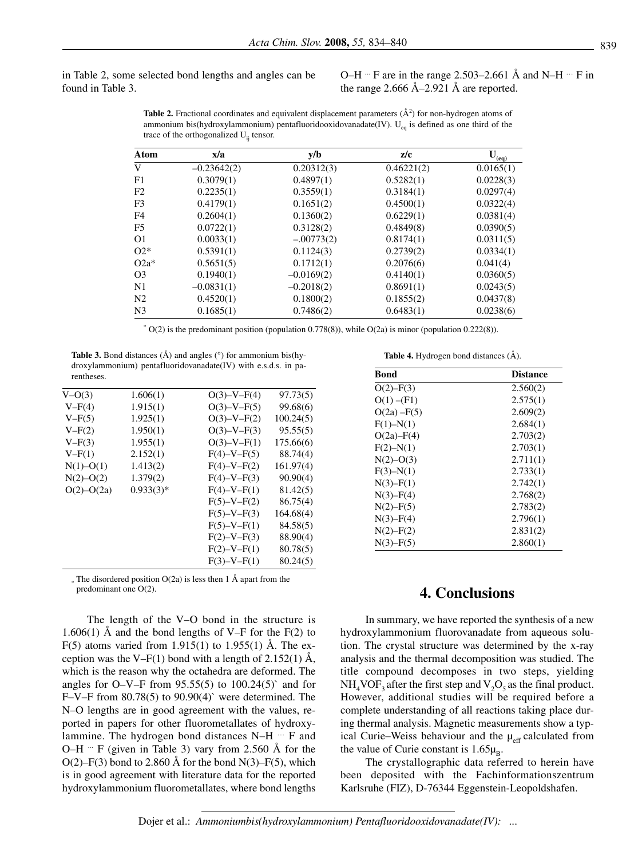in Table 2, some selected bond lengths and angles can be found in Table 3.

O–H  $\degree$  F are in the range 2.503–2.661 Å and N–H  $\degree$  F in the range 2.666 Å–2.921 Å are reported.

**Table 2.** Fractional coordinates and equivalent displacement parameters  $(\mathbf{A}^2)$  for non-hydrogen atoms of ammonium bis(hydroxylammonium) pentafluoridooxidovanadate(IV). U<sub>eq</sub> is defined as one third of the trace of the orthogonalized  $U_{ii}$  tensor.

| <b>Atom</b>    | x/a           | y/b          | z/c        | $\mathbf{U}_{\mathbf{(eq)}}$ |
|----------------|---------------|--------------|------------|------------------------------|
| V              | $-0.23642(2)$ | 0.20312(3)   | 0.46221(2) | 0.0165(1)                    |
| F1             | 0.3079(1)     | 0.4897(1)    | 0.5282(1)  | 0.0228(3)                    |
| F <sub>2</sub> | 0.2235(1)     | 0.3559(1)    | 0.3184(1)  | 0.0297(4)                    |
| F <sub>3</sub> | 0.4179(1)     | 0.1651(2)    | 0.4500(1)  | 0.0322(4)                    |
| F4             | 0.2604(1)     | 0.1360(2)    | 0.6229(1)  | 0.0381(4)                    |
| F <sub>5</sub> | 0.0722(1)     | 0.3128(2)    | 0.4849(8)  | 0.0390(5)                    |
| O <sub>1</sub> | 0.0033(1)     | $-.00773(2)$ | 0.8174(1)  | 0.0311(5)                    |
| $O2*$          | 0.5391(1)     | 0.1124(3)    | 0.2739(2)  | 0.0334(1)                    |
| $O2a^*$        | 0.5651(5)     | 0.1712(1)    | 0.2076(6)  | 0.041(4)                     |
| O <sub>3</sub> | 0.1940(1)     | $-0.0169(2)$ | 0.4140(1)  | 0.0360(5)                    |
| N1             | $-0.0831(1)$  | $-0.2018(2)$ | 0.8691(1)  | 0.0243(5)                    |
| N <sub>2</sub> | 0.4520(1)     | 0.1800(2)    | 0.1855(2)  | 0.0437(8)                    |
| N <sub>3</sub> | 0.1685(1)     | 0.7486(2)    | 0.6483(1)  | 0.0238(6)                    |

 $*$  O(2) is the predominant position (population 0.778(8)), while O(2a) is minor (population 0.222(8)).

**Table 3.** Bond distances (Å) and angles (°) for ammonium bis(hydroxylammonium) pentafluoridovanadate(IV) with e.s.d.s. in parentheses.

| $V = O(3)$     | 1.606(1)    | $O(3) - V - F(4)$ | 97.73(5)  |
|----------------|-------------|-------------------|-----------|
| $V-F(4)$       | 1.915(1)    | $O(3) - V - F(5)$ | 99.68(6)  |
| $V-F(5)$       | 1.925(1)    | $O(3)-V-F(2)$     | 100.24(5) |
| $V-F(2)$       | 1.950(1)    | $O(3) - V - F(3)$ | 95.55(5)  |
| $V-F(3)$       | 1.955(1)    | $O(3) - V - F(1)$ | 175.66(6) |
| $V-F(1)$       | 2.152(1)    | $F(4)-V-F(5)$     | 88.74(4)  |
| $N(1)-O(1)$    | 1.413(2)    | $F(4)-V-F(2)$     | 161.97(4) |
| $N(2)-O(2)$    | 1.379(2)    | $F(4)-V-F(3)$     | 90.90(4)  |
| $O(2) - O(2a)$ | $0.933(3)*$ | $F(4)-V-F(1)$     | 81.42(5)  |
|                |             | $F(5)-V-F(2)$     | 86.75(4)  |
|                |             | $F(5)-V-F(3)$     | 164.68(4) |
|                |             | $F(5)-V-F(1)$     | 84.58(5)  |
|                |             | $F(2)-V-F(3)$     | 88.90(4)  |
|                |             | $F(2)-V-F(1)$     | 80.78(5)  |
|                |             | $F(3)-V-F(1)$     | 80.24(5)  |
|                |             |                   |           |

 $*$  The disordered position O(2a) is less then 1 Å apart from the predominant one O(2).

The length of the V–O bond in the structure is 1.606(1) Å and the bond lengths of V–F for the  $F(2)$  to F(5) atoms varied from 1.915(1) to 1.955(1) Å. The exception was the V–F(1) bond with a length of 2.152(1)  $\AA$ , which is the reason why the octahedra are deformed. The angles for O–V–F from  $95.55(5)$  to  $100.24(5)$ ° and for  $F-V-F$  from 80.78(5) to 90.90(4)` were determined. The N–O lengths are in good agreement with the values, reported in papers for other fluorometallates of hydroxylammine. The hydrogen bond distances N–H … F and O–H  $\cdot$  F (given in Table 3) vary from 2.560 Å for the  $O(2)$ –F(3) bond to 2.860 Å for the bond N(3)–F(5), which is in good agreement with literature data for the reported hydroxylammonium fluorometallates, where bond lengths

**Table 4.** Hydrogen bond distances (Å).

| Bond           | Distance |
|----------------|----------|
| $O(2) - F(3)$  | 2.560(2) |
| $O(1) - (F1)$  | 2.575(1) |
| $O(2a) - F(5)$ | 2.609(2) |
| $F(1) - N(1)$  | 2.684(1) |
| $O(2a) - F(4)$ | 2.703(2) |
| $F(2) - N(1)$  | 2.703(1) |
| $N(2) - O(3)$  | 2.711(1) |
| $F(3) - N(1)$  | 2.733(1) |
| $N(3) - F(1)$  | 2.742(1) |
| $N(3) - F(4)$  | 2.768(2) |
| $N(2) - F(5)$  | 2.783(2) |
| $N(3) - F(4)$  | 2.796(1) |
| $N(2) - F(2)$  | 2.831(2) |
| $N(3) - F(5)$  | 2.860(1) |

## predominant one O(2). **4. Conclusions**

In summary, we have reported the synthesis of a new hydroxylammonium fluorovanadate from aqueous solution. The crystal structure was determined by the x-ray analysis and the thermal decomposition was studied. The title compound decomposes in two steps, yielding  $NH_4VOF_3$  after the first step and  $V_2O_5$  as the final product. However, additional studies will be required before a complete understanding of all reactions taking place during thermal analysis. Magnetic measurements show a typical Curie–Weiss behaviour and the  $\mu_{\text{eff}}$  calculated from the value of Curie constant is  $1.65\mu_B$ .

The crystallographic data referred to herein have been deposited with the Fachinformationszentrum Karlsruhe (FIZ), D-76344 Eggenstein-Leopoldshafen.

Dojer et al.: Ammoniumbis(hydroxylammonium) Pentafluoridooxidovanadate(IV): ...